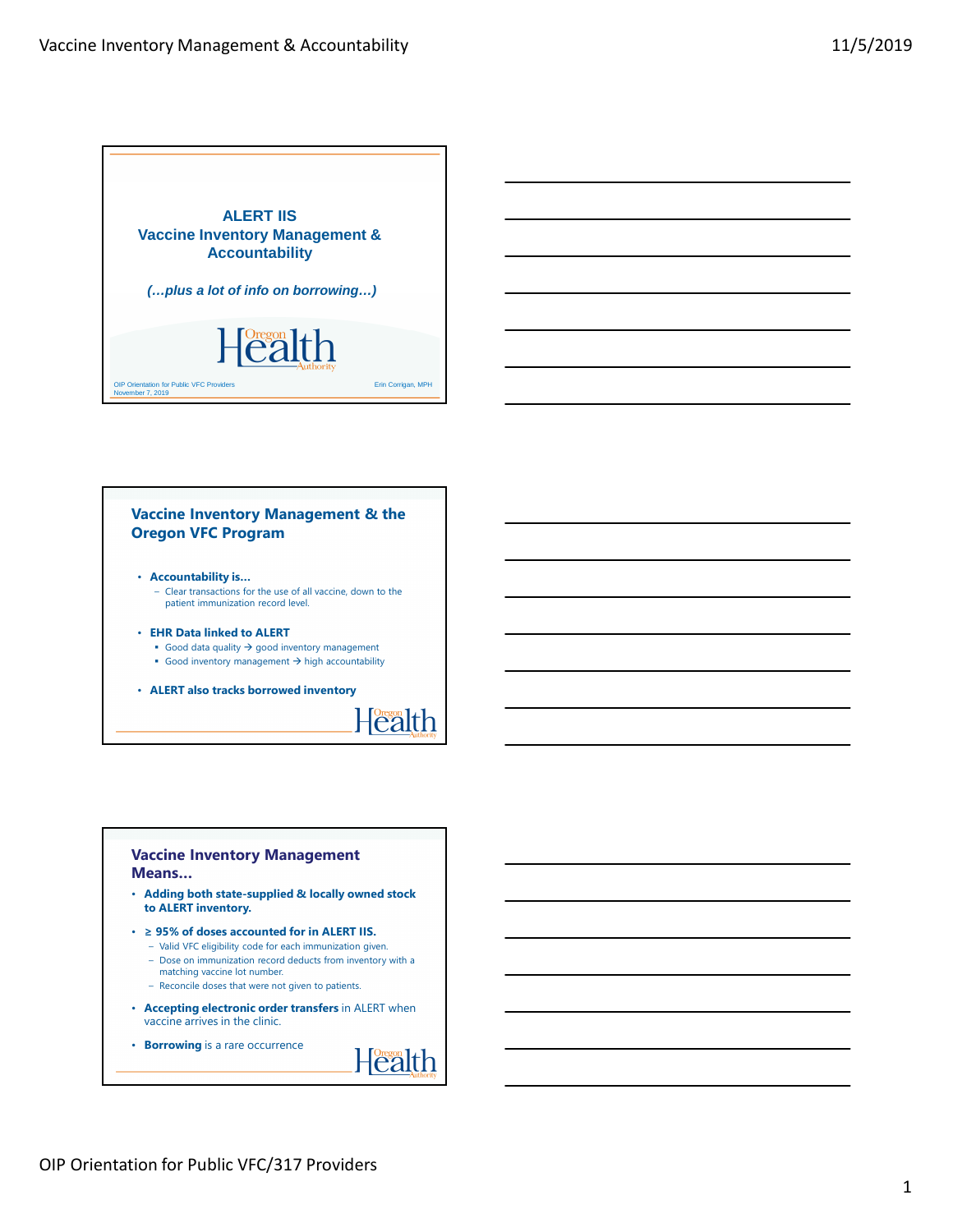

#### **Vaccine Inventory Management & the Oregon VFC Program**

- **Accountability is…**
	- Clear transactions for the use of all vaccine, down to the patient immunization record level.
- **EHR Data linked to ALERT**
	- Good data quality  $\rightarrow$  good inventory management
	- Good inventory management  $\rightarrow$  high accountability
- **ALERT also tracks borrowed inventory**



### **Vaccine Inventory Management Means…**

- **Adding both state-supplied & locally owned stock to ALERT inventory.**
- **≥ 95% of doses accounted for in ALERT IIS.**
	- Valid VFC eligibility code for each immunization given.
	- Dose on immunization record deducts from inventory with a matching vaccine lot number.
	- Reconcile doses that were not given to patients.
- **Accepting electronic order transfers** in ALERT when vaccine arrives in the clinic.
- **Borrowing** is a rare occurrence

**Health**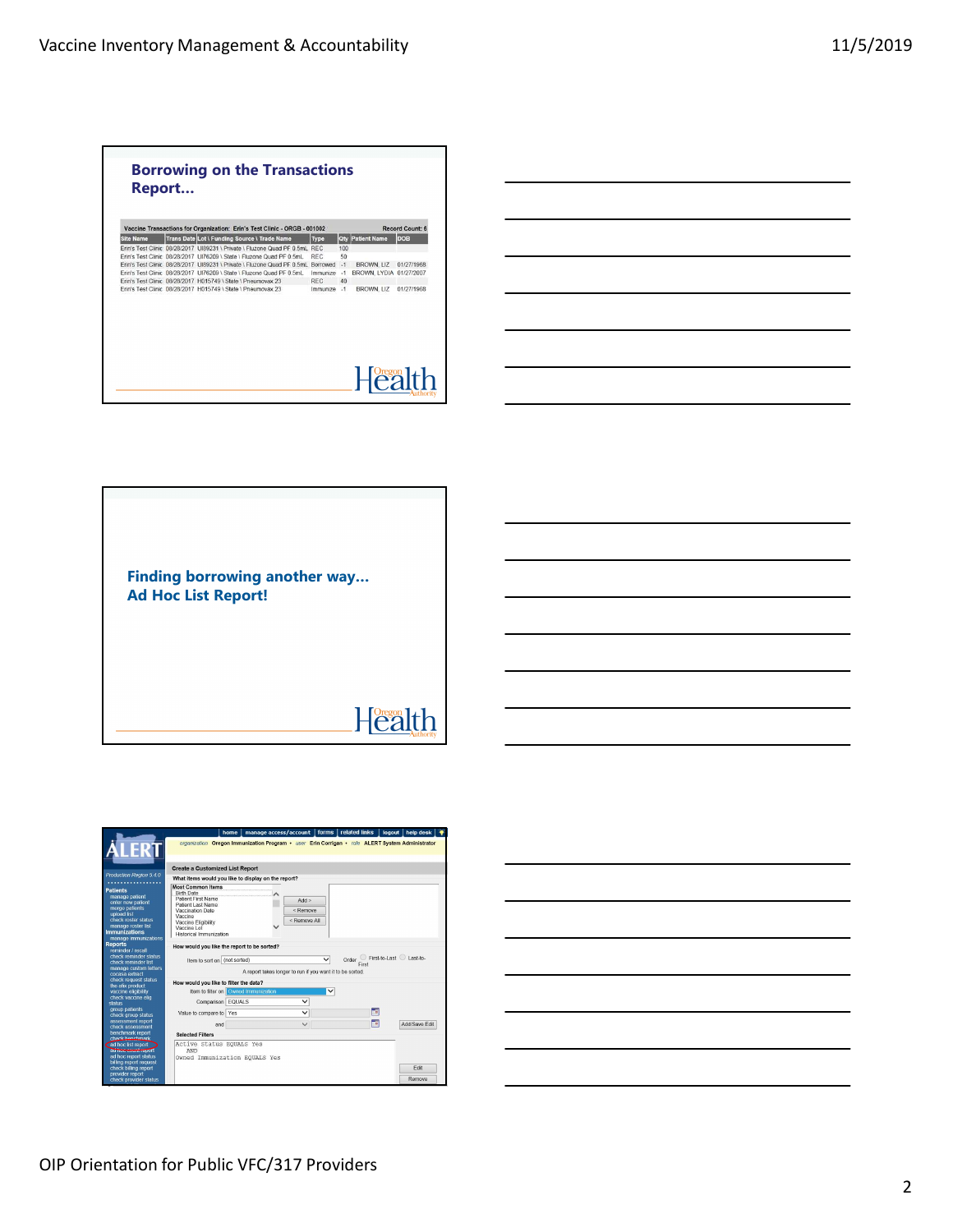Г

| <b>Site Name</b> | Vaccine Transactions for Organization: Erin's Test Clinic - ORGB - 001002        |            |      |                         | <b>Record Count: 6</b> |
|------------------|----------------------------------------------------------------------------------|------------|------|-------------------------|------------------------|
|                  | Trans Date Lot \ Funding Source \ Trade Name                                     | Type       |      | <b>Qty Patient Name</b> | <b>DOB</b>             |
|                  | Erin's Test Clinic 08/28/2017 UI89231 \ Private \ Eluzone Quad PE 0.5ml REC.     |            | 100  |                         |                        |
|                  | Erin's Test Clinic 08/28/2017 UI76209 \ State \ Fluzone Quad PF 0.5mL            | <b>REC</b> | 50   |                         |                        |
|                  | Erin's Test Clinic 08/28/2017 UI89231 \ Private \ Fluzone Quad PE 0.5mL Borrowed |            | $-1$ | <b>BROWN, LIZ</b>       | 01/27/1968             |
|                  | Erin's Test Clinic 08/28/2017 UI76209 \ State \ Fluzone Quad PF 0.5mL            | Immunize   | $-1$ | BROWN, LYDIA 01/27/2007 |                        |
|                  | Erin's Test Clinic 08/28/2017 H015749 \ State \ Pneumovax 23                     | RFC.       | 40   |                         |                        |
|                  | Erin's Test Clinic 08/28/2017 H015749 \ State \ Pneumovax 23                     | Immunize   | $-1$ | <b>BROWN, LIZ</b>       | 01/27/1968             |
|                  |                                                                                  |            |      |                         |                        |

٦





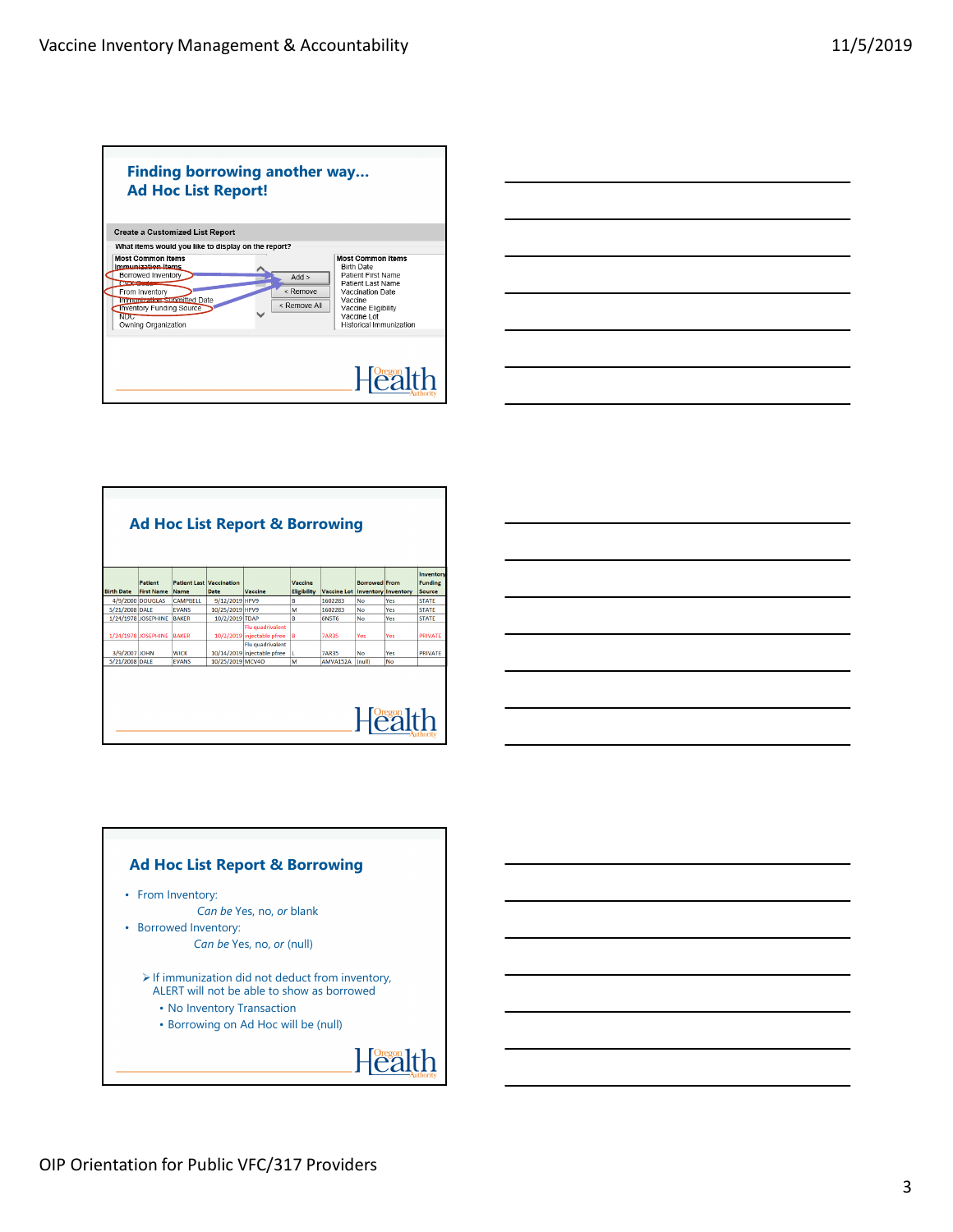| <b>Create a Customized List Report</b>                                                                                                                                                                               |                                   |                                                                                                                                                                                                 |
|----------------------------------------------------------------------------------------------------------------------------------------------------------------------------------------------------------------------|-----------------------------------|-------------------------------------------------------------------------------------------------------------------------------------------------------------------------------------------------|
| What items would you like to display on the report?                                                                                                                                                                  |                                   |                                                                                                                                                                                                 |
| <b>Most Common Items</b><br>Immunization Items<br>Borrowed Inventory<br><b>CVA Continue</b><br>From Inventory<br>Immunization submitted Date<br><b>Inventory Funding Source</b><br><b>NDC</b><br>Owning Organization | Add<br>$<$ Remove<br>< Remove All | <b>Most Common Items</b><br><b>Birth Date</b><br>Patient First Name<br>Patient Last Name<br>Vaccination Date<br>Vaccine<br>Vaccine Eligibility<br>Vaccine Lot<br><b>Historical Immunization</b> |

| <b>Ad Hoc List Report &amp; Borrowing</b> |                              |                 |                                         |                                                                    |                               |                                        |                      |               |                                       |  |
|-------------------------------------------|------------------------------|-----------------|-----------------------------------------|--------------------------------------------------------------------|-------------------------------|----------------------------------------|----------------------|---------------|---------------------------------------|--|
| <b>Birth Date</b>                         | Patient<br><b>First Name</b> | Name            | <b>Patient Last Vaccination</b><br>Date | Vaccine                                                            | Vaccine<br><b>Eligibility</b> | <b>Vaccine Lot Inventory Inventory</b> | <b>Borrowed</b> From |               | Inventory<br><b>Funding</b><br>Source |  |
|                                           | 4/9/2000 DOUGLAS             | <b>CAMPRELL</b> | 9/12/2019 HPV9                          |                                                                    | l B                           | 1602283                                | No                   | Yes           | <b>STATE</b>                          |  |
| 5/21/2008 DALE                            |                              | <b>FVANS</b>    | 10/25/2019 HPV9                         |                                                                    | lм                            | 1602283                                | No                   | Yes           | <b>STATE</b>                          |  |
|                                           | 1/24/1978 JOSEPHINE          | <b>BAKER</b>    | 10/2/2019 TDAP                          |                                                                    | B                             | <b>6N5T6</b>                           | No                   | Yes           | <b>STATE</b>                          |  |
|                                           | 1/24/1978 JOSEPHINE          | <b>BAKER</b>    |                                         | Flu quadrivalent<br>10/2/2019 injectable pfree<br>Flu quadrivalent | B                             | <b>7AR35</b>                           | Yes                  | Yes           | <b>PRIVATE</b>                        |  |
| 3/9/2007 JOHN                             |                              | <b>WICK</b>     |                                         | 10/14/2019 injectable pfree                                        |                               | <b>7AR35</b>                           | No                   | Yes           | <b>PRIVATE</b>                        |  |
| 5/21/2008 DALE                            |                              | <b>FVANS</b>    | 10/25/2019 MCV4O                        |                                                                    | M                             | AMVA152A                               | (null)               | No            |                                       |  |
|                                           |                              |                 |                                         |                                                                    |                               |                                        |                      | <b>Health</b> |                                       |  |

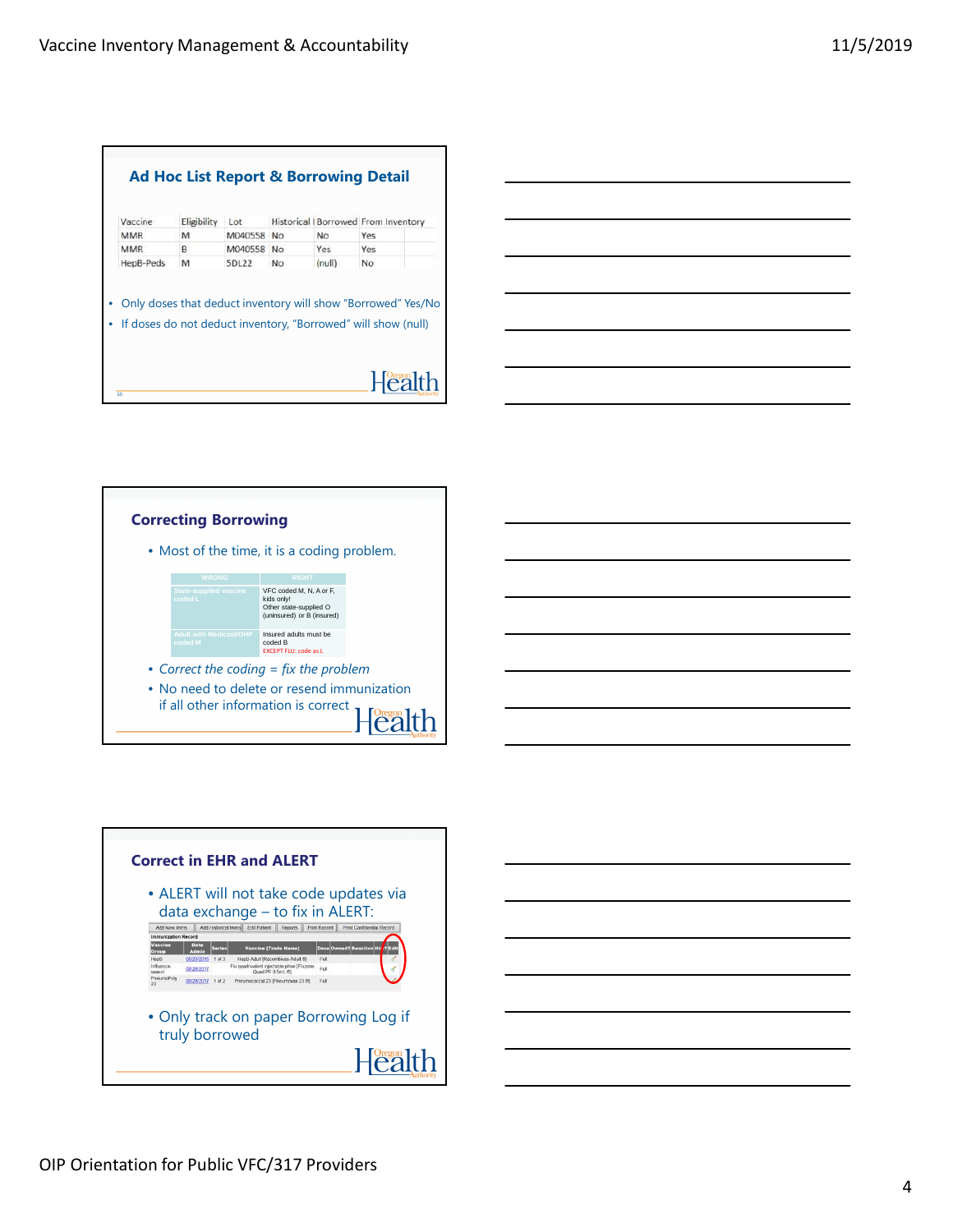| Vaccine                                                       | Eligibility | Lot          |                | Historical I Borrowed From Inventory |     |  |
|---------------------------------------------------------------|-------------|--------------|----------------|--------------------------------------|-----|--|
| <b>MMR</b>                                                    | M           | M040558      | N <sub>o</sub> | No                                   | Yes |  |
| MMR                                                           | B           | M040558      | <b>No</b>      | Yes                                  | Yes |  |
| HepB-Peds                                                     | M           | <b>5DL22</b> | No             | (null)                               | No  |  |
| Only doses that deduct inventory will show "Borrowed" Yes/No  |             |              |                |                                      |     |  |
| If doses do not deduct inventory, "Borrowed" will show (null) |             |              |                |                                      |     |  |
|                                                               |             |              |                |                                      |     |  |





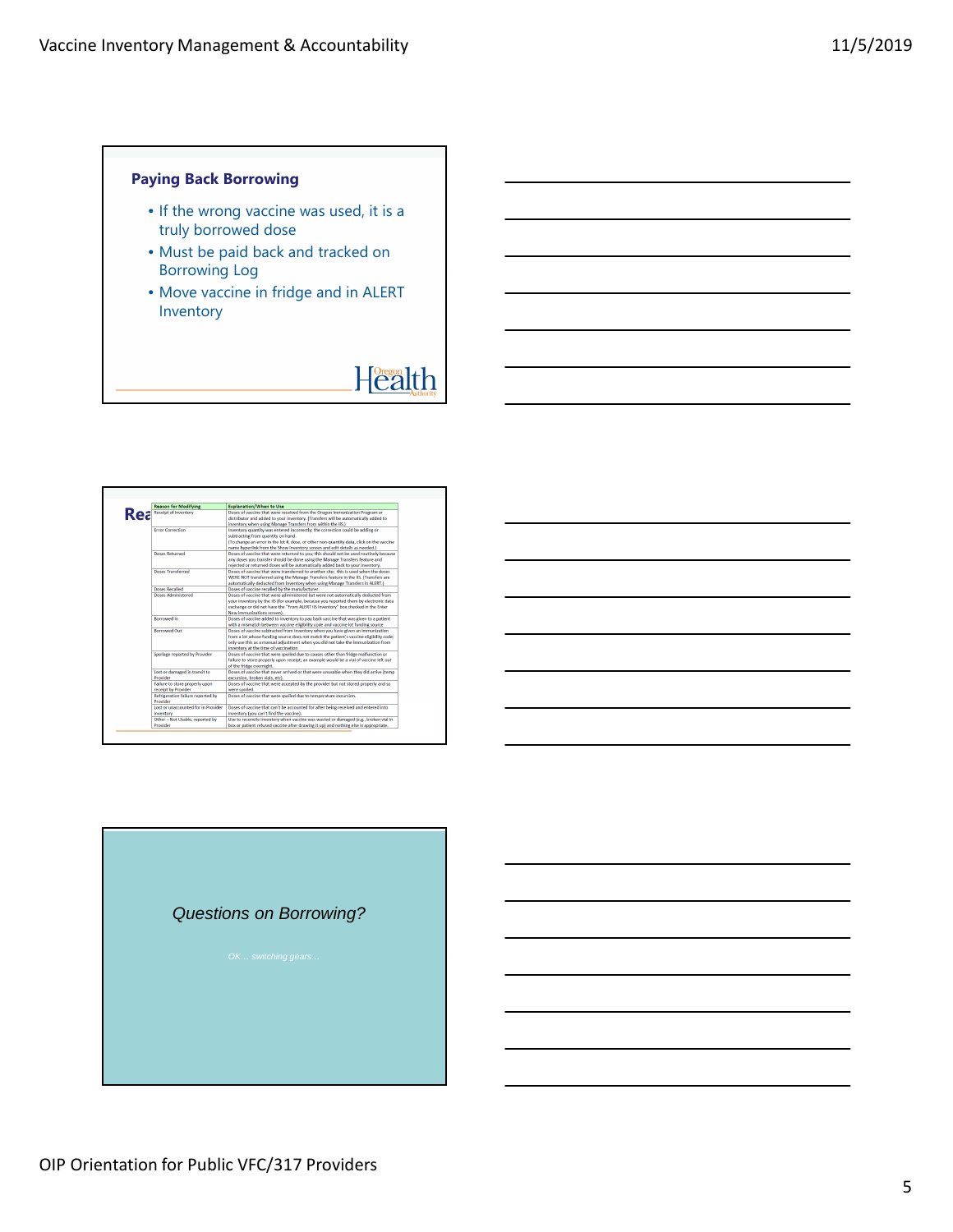## **Paying Back Borrowing**

- If the wrong vaccine was used, it is a truly borrowed dose
- Must be paid back and tracked on Borrowing Log
- Move vaccine in fridge and in ALERT Inventory

# Health

|  | <b>Reason for Modifying</b>               | <b>Explanation/When to Use</b>                                                           |
|--|-------------------------------------------|------------------------------------------------------------------------------------------|
|  | <b>Ke</b> <sup>Receipt of Inventory</sup> | Doses of vaccine that were received from the Oregon Immunization Program or              |
|  |                                           | distributor and added to your inventory. (Transfers will be automatically added to       |
|  |                                           | inventory when using Manage Transfers from within the IIS.)                              |
|  | <b>Error Correction</b>                   | Inventory quantity was entered incorrectly; the correction could be adding or            |
|  |                                           | subtracting from quantity on hand.                                                       |
|  |                                           | (To change an error in the lot #, dose, or other non-quantity data, click on the vaccine |
|  |                                           | name hyperlink from the Show Inventory screen and edit details as needed.)               |
|  | Doses Returned                            | Doses of vaccine that were returned to you; this should not be used routinely because    |
|  |                                           | any doses you transfer should be done using the Manage Transfers feature and             |
|  |                                           | rejected or returned doses will be automatically added back to your inventory.           |
|  | <b>Doses Transferred</b>                  | Doses of vaccine that were transferred to another site: this is used when the doses      |
|  |                                           | WERE NOT transferred using the Manage Transfers feature in the IIS. (Transfers are       |
|  |                                           | automatically deducted from inventory when using Manage Transfers in ALERT.)             |
|  | Doses Recalled                            | Doses of vaccine recalled by the manufacturer.                                           |
|  | <b>Doses Administered</b>                 | Doses of vaccine that were administered but were not automatically deducted from         |
|  |                                           | your inventory by the IIS (for example, because you reported them by electronic data     |
|  |                                           | exchange or did not have the "From ALERT IIS Inventory" box checked in the Enter         |
|  |                                           | New Immunizations screen).                                                               |
|  | <b>Rorrowed In</b>                        | Doses of vaccine added to inventory to pay back vaccine that was given to a patient      |
|  |                                           | with a mismatch between vaccine eligibility code and vaccine lot funding source          |
|  | <b>Borrowed Out</b>                       | Doses of vaccine subtracted from inventory when you have given an immunization           |
|  |                                           | from a lot whose funding source does not match the patient's vaccine eligibility code:   |
|  |                                           | only use this as a manual adjustment when you did not take the immunization from         |
|  |                                           | inventory at the time of vaccination                                                     |
|  | Spoilage reported by Provider             | Doses of vaccine that were spoiled due to causes other than fridge malfunction or        |
|  |                                           | failure to store properly upon receipt; an example would be a vial of vaccine left out   |
|  |                                           | of the fridge overnight.                                                                 |
|  | Lost or damaged in transit to             | Doses of vaccine that never arrived or that were unusable when they did arrive (temp     |
|  | Provider                                  | excursion, broken vials, etc).                                                           |
|  | Failure to store properly upon            | Doses of vaccine that were accepted by the provider but not stored properly and so       |
|  | receipt by Provider                       | were spoiled.                                                                            |
|  | Refrigeration failure reported by         | Doses of vaccine that were spoiled due to temperature excursion.                         |
|  | Provider                                  |                                                                                          |
|  | Lost or unaccounted for in Provider       | Doses of vaccine that can't be accounted for after being received and entered into       |
|  | <b>Inventory</b>                          | inventory (you can't find the vaccine).                                                  |
|  | Other - Not Usable, reported by           | Use to reconcile inventory when vaccine was wasted or damaged (e.g., broken vial in      |
|  | Provider                                  | box or patient refused vaccine after drawing it up) and nothing else is appropriate.     |

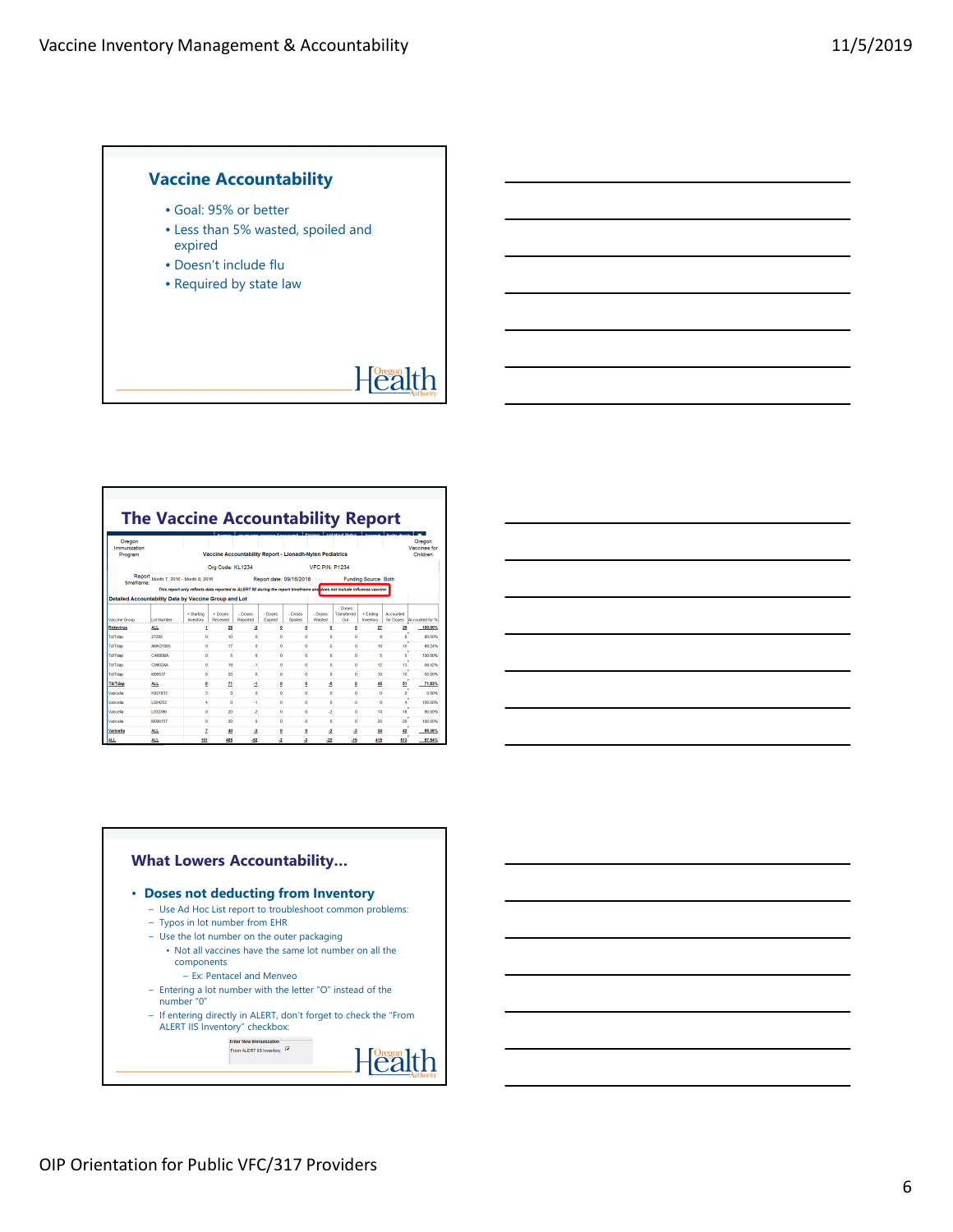## **Vaccine Accountability**

- Goal: 95% or better
- Less than 5% wasted, spoiled and expired
- Doesn't include flu
- Required by state law

# Health

## **The Vaccine Accountability Report**

| Oregon<br>Immunization<br>Program                     |                                                                                                                         |                         | Vaccine Accountability Report - Lionadh-Nylen Pediatrics |                     |                    |                      |                   | <b>Londonial Bolon</b>        |                       | togout   hole dool     | Oregon<br>Vaccines for<br>Children |  |
|-------------------------------------------------------|-------------------------------------------------------------------------------------------------------------------------|-------------------------|----------------------------------------------------------|---------------------|--------------------|----------------------|-------------------|-------------------------------|-----------------------|------------------------|------------------------------------|--|
|                                                       | Org Code: KL1234<br><b>VFC PIN: P1234</b>                                                                               |                         |                                                          |                     |                    |                      |                   |                               |                       |                        |                                    |  |
| Report<br>timeframe:                                  | Month 7, 2016 - Month 8, 2016<br>Report date: 09/16/2016<br>Funding Source: Both                                        |                         |                                                          |                     |                    |                      |                   |                               |                       |                        |                                    |  |
|                                                       | This report only reflects data reported to ALERT #S during the report timeframe and does not include influenza vaccine. |                         |                                                          |                     |                    |                      |                   |                               |                       |                        |                                    |  |
| Detailed Accountability Data by Vaccine Group and Lot |                                                                                                                         |                         |                                                          |                     |                    |                      |                   |                               |                       |                        |                                    |  |
| Vaccine Group                                         | <b>Lot Number</b>                                                                                                       | + Starting<br>Inventory | $+$ Doses<br>Received                                    | - Doses<br>Reported | - Doses<br>Expired | - Doces<br>Spoiled   | - Doses<br>Warded | - Doses<br>Transferred<br>Oit | + Ending<br>Inventory | Accounted<br>for Doses | Accounted for %                    |  |
| <b>Rotavirus</b>                                      | <b>ALL</b>                                                                                                              |                         | 28                                                       | 2                   |                    | ۰                    | Q                 | o                             | 27                    | 29                     | 100,00%                            |  |
| TdfTdan                                               | 272900                                                                                                                  |                         | 10                                                       | ö                   |                    |                      | ۵                 | ٨                             |                       | я                      | 80,00%                             |  |
| Td/Tdap                                               | <b>AMK21085</b>                                                                                                         | ٨                       | 17                                                       | ö                   | n                  | o                    | 4                 | ö                             | 10                    | 16                     | 88.24%                             |  |
| Td/Tdap                                               | CARRORA                                                                                                                 | n                       | ĥ                                                        | ö                   | n                  | n                    | ٥                 | ö                             | 6                     | к                      | 100.00%                            |  |
| Td/Tdap                                               | C9902AA                                                                                                                 | n                       | 19                                                       | $\mathbf{A}$        | n                  | n                    | ö                 | ö                             | 12                    | 13                     | <b>PR 42%</b>                      |  |
| Td/Tdap                                               | <b>M06537</b>                                                                                                           | $\mathbf{0}$            | 20                                                       | $\circ$             | $\mathbf 0$        | $\bullet$            | ٥                 | ٥                             | 10                    | 10                     | 50.00%                             |  |
| <b>Td/Tdap</b>                                        | <b>ALL</b>                                                                                                              | ō                       | 71                                                       | Δ                   | ٥                  | ō                    | 4                 | Ō                             | 45                    | 51                     | 71.83%                             |  |
| Varicella                                             | K021933                                                                                                                 | 3                       | ō                                                        | ٥                   | n                  | $\mathbf{0}$         | ٥                 | ō                             | o                     | $\circ$                | 0.00%                              |  |
| Varicella                                             | 1024252                                                                                                                 | A                       | ō                                                        | 4                   | o                  | o                    | ٥                 | A.                            | Ō                     |                        | 100,00%                            |  |
| Varicella                                             | 1.032396                                                                                                                | ٥                       | 20                                                       | -2                  | n                  | $\mathbf{0}$         | -2                | ō                             | 14                    | 18                     | 90,00%                             |  |
| Varicella                                             | <b>MOD6157</b>                                                                                                          | ٥                       | 20                                                       | ۵                   | n                  | $\ddot{\phantom{0}}$ | ٥                 | ō                             | 20                    | 20                     | 100,00%                            |  |
| Varicella                                             | <b>ALL</b>                                                                                                              | 7                       | 40                                                       | 4                   | 0                  | Q                    | -2                | 4                             | 34                    | 42                     | 89.36%                             |  |
| <b>ALL</b>                                            | <b>ALL</b>                                                                                                              | 101                     | 485                                                      | $-52$               | $\cdot$            | ۵                    | $-22$             | $-19$                         | 415                   | 513                    | 87,54%                             |  |

### **What Lowers Accountability…** • **Doses not deducting from Inventory** – Use Ad Hoc List report to troubleshoot common problems: – Typos in lot number from EHR – Use the lot number on the outer packaging • Not all vaccines have the same lot number on all the components – Ex: Pentacel and Menveo – Entering a lot number with the letter "O" instead of the number "0" – If entering directly in ALERT, don't forget to check the "From ALERT IIS Inventory" checkbox: Enter New Immunization<br>From ALERT IIS Inventory Health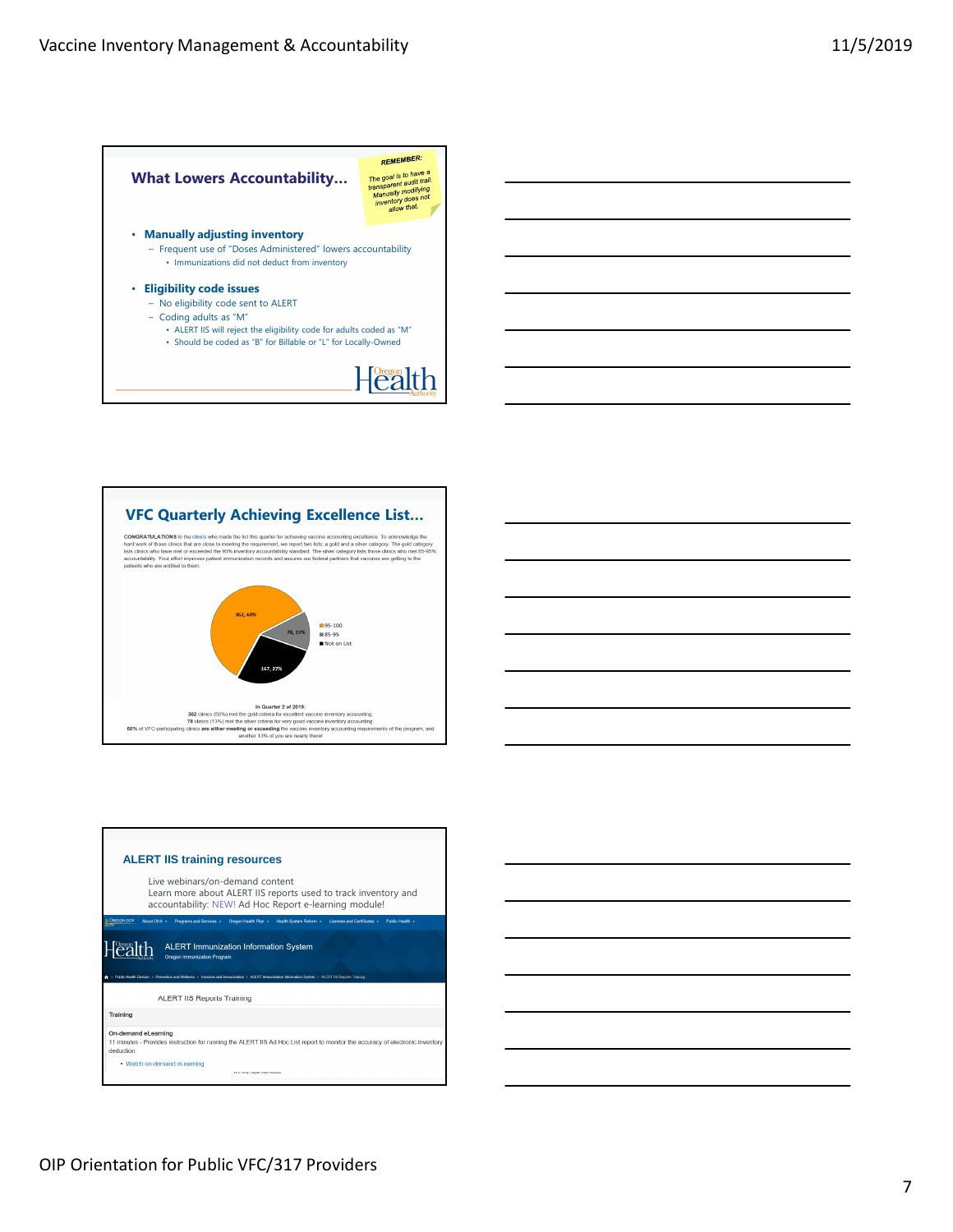





OIP Orientation for Public VFC/317 Providers